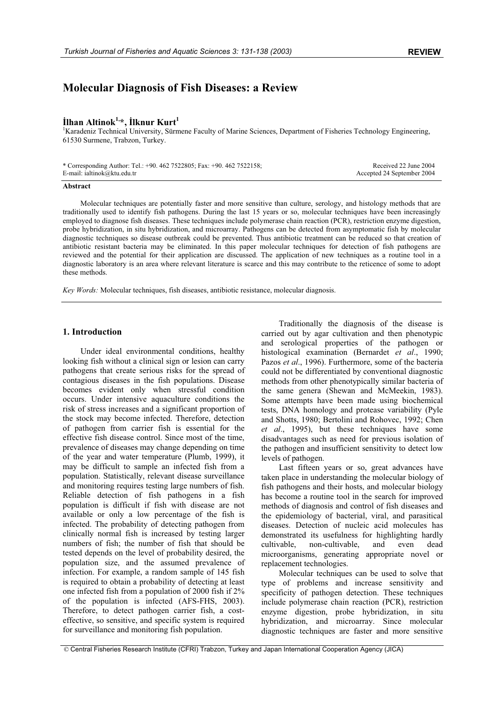# **Molecular Diagnosis of Fish Diseases: a Review**

# **ølhan Altinok1,\*, ølknur Kurt<sup>1</sup>**

<sup>1</sup>Karadeniz Technical University, Sürmene Faculty of Marine Sciences, Department of Fisheries Technology Engineering, 61530 Surmene, Trabzon, Turkey.

| * Corresponding Author: Tel.: +90. 462 7522805; Fax: +90. 462 7522158; | Received 22 June 2004      |
|------------------------------------------------------------------------|----------------------------|
| E-mail: ialtinok@ktu.edu.tr                                            | Accepted 24 September 2004 |

#### **Abstract**

Molecular techniques are potentially faster and more sensitive than culture, serology, and histology methods that are traditionally used to identify fish pathogens. During the last 15 years or so, molecular techniques have been increasingly employed to diagnose fish diseases. These techniques include polymerase chain reaction (PCR), restriction enzyme digestion, probe hybridization, in situ hybridization, and microarray. Pathogens can be detected from asymptomatic fish by molecular diagnostic techniques so disease outbreak could be prevented. Thus antibiotic treatment can be reduced so that creation of antibiotic resistant bacteria may be eliminated. In this paper molecular techniques for detection of fish pathogens are reviewed and the potential for their application are discussed. The application of new techniques as a routine tool in a diagnostic laboratory is an area where relevant literature is scarce and this may contribute to the reticence of some to adopt these methods.

*Key Words:* Molecular techniques, fish diseases, antibiotic resistance, molecular diagnosis.

#### **1. Introduction**

Under ideal environmental conditions, healthy looking fish without a clinical sign or lesion can carry pathogens that create serious risks for the spread of contagious diseases in the fish populations. Disease becomes evident only when stressful condition occurs. Under intensive aquaculture conditions the risk of stress increases and a significant proportion of the stock may become infected. Therefore, detection of pathogen from carrier fish is essential for the effective fish disease control. Since most of the time, prevalence of diseases may change depending on time of the year and water temperature (Plumb, 1999), it may be difficult to sample an infected fish from a population. Statistically, relevant disease surveillance and monitoring requires testing large numbers of fish. Reliable detection of fish pathogens in a fish population is difficult if fish with disease are not available or only a low percentage of the fish is infected. The probability of detecting pathogen from clinically normal fish is increased by testing larger numbers of fish; the number of fish that should be tested depends on the level of probability desired, the population size, and the assumed prevalence of infection. For example, a random sample of 145 fish is required to obtain a probability of detecting at least one infected fish from a population of 2000 fish if 2% of the population is infected (AFS-FHS, 2003). Therefore, to detect pathogen carrier fish, a costeffective, so sensitive, and specific system is required for surveillance and monitoring fish population.

Traditionally the diagnosis of the disease is carried out by agar cultivation and then phenotypic and serological properties of the pathogen or histological examination (Bernardet *et al*., 1990; Pazos *et al*., 1996). Furthermore, some of the bacteria could not be differentiated by conventional diagnostic methods from other phenotypically similar bacteria of the same genera (Shewan and McMeekin, 1983). Some attempts have been made using biochemical tests, DNA homology and protease variability (Pyle and Shotts, 1980; Bertolini and Rohovec, 1992; Chen *et al*., 1995), but these techniques have some disadvantages such as need for previous isolation of the pathogen and insufficient sensitivity to detect low levels of pathogen.

Last fifteen years or so, great advances have taken place in understanding the molecular biology of fish pathogens and their hosts, and molecular biology has become a routine tool in the search for improved methods of diagnosis and control of fish diseases and the epidemiology of bacterial, viral, and parasitical diseases. Detection of nucleic acid molecules has demonstrated its usefulness for highlighting hardly cultivable, non-cultivable, and even dead microorganisms, generating appropriate novel or replacement technologies.

Molecular techniques can be used to solve that type of problems and increase sensitivity and specificity of pathogen detection. These techniques include polymerase chain reaction (PCR), restriction enzyme digestion, probe hybridization, in situ hybridization, and microarray. Since molecular diagnostic techniques are faster and more sensitive

 <sup>©</sup> Central Fisheries Research Institute (CFRI) Trabzon, Turkey and Japan International Cooperation Agency (JICA)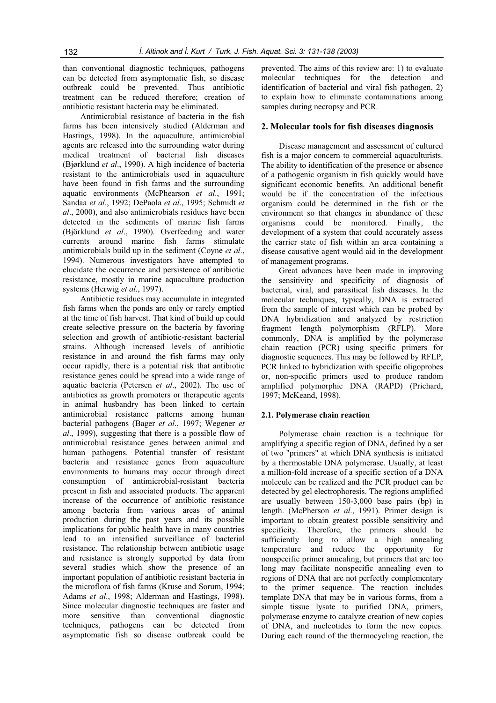than conventional diagnostic techniques, pathogens can be detected from asymptomatic fish, so disease outbreak could be prevented. Thus antibiotic treatment can be reduced therefore; creation of antibiotic resistant bacteria may be eliminated.

Antimicrobial resistance of bacteria in the fish farms has been intensively studied (Alderman and Hastings, 1998). In the aquaculture, antimicrobial agents are released into the surrounding water during medical treatment of bacterial fish diseases (Bjørklund *et al*., 1990). A high incidence of bacteria resistant to the antimicrobials used in aquaculture have been found in fish farms and the surrounding aquatic environments (McPhearson *et al*., 1991; Sandaa *et al*., 1992; DePaola *et al*., 1995; Schmidt *et al*., 2000), and also antimicrobials residues have been detected in the sediments of marine fish farms (Björklund *et al*., 1990). Overfeeding and water currents around marine fish farms stimulate antimicrobials build up in the sediment (Coyne *et al*., 1994). Numerous investigators have attempted to elucidate the occurrence and persistence of antibiotic resistance, mostly in marine aquaculture production systems (Herwig *et al*., 1997).

Antibiotic residues may accumulate in integrated fish farms when the ponds are only or rarely emptied at the time of fish harvest. That kind of build up could create selective pressure on the bacteria by favoring selection and growth of antibiotic-resistant bacterial strains. Although increased levels of antibiotic resistance in and around the fish farms may only occur rapidly, there is a potential risk that antibiotic resistance genes could be spread into a wide range of aquatic bacteria (Petersen *et al*., 2002). The use of antibiotics as growth promoters or therapeutic agents in animal husbandry has been linked to certain antimicrobial resistance patterns among human bacterial pathogens (Bager *et al*., 1997; Wegener *et al*., 1999), suggesting that there is a possible flow of antimicrobial resistance genes between animal and human pathogens. Potential transfer of resistant bacteria and resistance genes from aquaculture environments to humans may occur through direct consumption of antimicrobial-resistant bacteria present in fish and associated products. The apparent increase of the occurrence of antibiotic resistance among bacteria from various areas of animal production during the past years and its possible implications for public health have in many countries lead to an intensified surveillance of bacterial resistance. The relationship between antibiotic usage and resistance is strongly supported by data from several studies which show the presence of an important population of antibiotic resistant bacteria in the microflora of fish farms (Kruse and Sorum, 1994; Adams *et al*., 1998; Alderman and Hastings, 1998). Since molecular diagnostic techniques are faster and more sensitive than conventional diagnostic techniques, pathogens can be detected from asymptomatic fish so disease outbreak could be

prevented. The aims of this review are: 1) to evaluate molecular techniques for the detection and identification of bacterial and viral fish pathogen, 2) to explain how to eliminate contaminations among samples during necropsy and PCR.

## **2. Molecular tools for fish diseases diagnosis**

Disease management and assessment of cultured fish is a major concern to commercial aquaculturists. The ability to identification of the presence or absence of a pathogenic organism in fish quickly would have significant economic benefits. An additional benefit would be if the concentration of the infectious organism could be determined in the fish or the environment so that changes in abundance of these organisms could be monitored. Finally, the development of a system that could accurately assess the carrier state of fish within an area containing a disease causative agent would aid in the development of management programs.

Great advances have been made in improving the sensitivity and specificity of diagnosis of bacterial, viral, and parasitical fish diseases. In the molecular techniques, typically, DNA is extracted from the sample of interest which can be probed by DNA hybridization and analyzed by restriction fragment length polymorphism (RFLP). More commonly, DNA is amplified by the polymerase chain reaction (PCR) using specific primers for diagnostic sequences. This may be followed by RFLP, PCR linked to hybridization with specific oligoprobes or, non-specific primers used to produce random amplified polymorphic DNA (RAPD) (Prichard, 1997; McKeand, 1998).

#### **2.1. Polymerase chain reaction**

Polymerase chain reaction is a technique for amplifying a specific region of DNA, defined by a set of two "primers" at which DNA synthesis is initiated by a thermostable DNA polymerase. Usually, at least a million-fold increase of a specific section of a DNA molecule can be realized and the PCR product can be detected by gel electrophoresis. The regions amplified are usually between 150-3,000 base pairs (bp) in length. (McPherson *et al*., 1991). Primer design is important to obtain greatest possible sensitivity and specificity. Therefore, the primers should be sufficiently long to allow a high annealing temperature and reduce the opportunity for nonspecific primer annealing, but primers that are too long may facilitate nonspecific annealing even to regions of DNA that are not perfectly complementary to the primer sequence. The reaction includes template DNA that may be in various forms, from a simple tissue lysate to purified DNA, primers, polymerase enzyme to catalyze creation of new copies of DNA, and nucleotides to form the new copies. During each round of the thermocycling reaction, the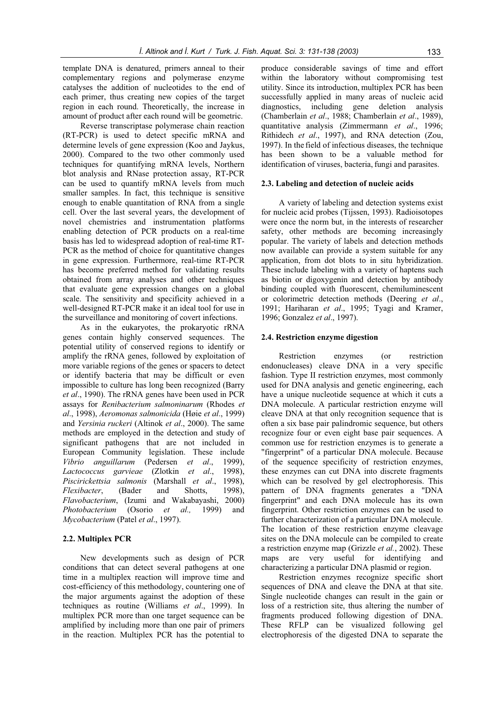template DNA is denatured, primers anneal to their complementary regions and polymerase enzyme catalyses the addition of nucleotides to the end of each primer, thus creating new copies of the target region in each round. Theoretically, the increase in amount of product after each round will be geometric.

Reverse transcriptase polymerase chain reaction (RT-PCR) is used to detect specific mRNA and determine levels of gene expression (Koo and Jaykus, 2000). Compared to the two other commonly used techniques for quantifying mRNA levels, Northern blot analysis and RNase protection assay, RT-PCR can be used to quantify mRNA levels from much smaller samples. In fact, this technique is sensitive enough to enable quantitation of RNA from a single cell. Over the last several years, the development of novel chemistries and instrumentation platforms enabling detection of PCR products on a real-time basis has led to widespread adoption of real-time RT-PCR as the method of choice for quantitative changes in gene expression. Furthermore, real-time RT-PCR has become preferred method for validating results obtained from array analyses and other techniques that evaluate gene expression changes on a global scale. The sensitivity and specificity achieved in a well-designed RT-PCR make it an ideal tool for use in the surveillance and monitoring of covert infections.

As in the eukaryotes, the prokaryotic rRNA genes contain highly conserved sequences. The potential utility of conserved regions to identify or amplify the rRNA genes, followed by exploitation of more variable regions of the genes or spacers to detect or identify bacteria that may be difficult or even impossible to culture has long been recognized (Barry *et al*., 1990). The rRNA genes have been used in PCR assays for *Renibacterium salmoninarum* (Rhodes *et al*., 1998), *Aeromonas salmonicida* (Høie *et al*., 1999) and *Yersinia ruckeri* (Altinok *et al*., 2000). The same methods are employed in the detection and study of significant pathogens that are not included in European Community legislation. These include *Vibrio anguillarum* (Pedersen *et al*., 1999), *Lactococcus garvieae* (Zlotkin *et al*., 1998), *Piscirickettsia salmonis* (Marshall *et al*., 1998), *Flexibacter*, (Bader and Shotts, 1998), *Flavobacterium*, (Izumi and Wakabayashi, 2000) *Photobacterium* (Osorio *et al.,* 1999) and *Mycobacterium* (Patel *et al*., 1997).

#### **2.2. Multiplex PCR**

New developments such as design of PCR conditions that can detect several pathogens at one time in a multiplex reaction will improve time and cost-efficiency of this methodology, countering one of the major arguments against the adoption of these techniques as routine (Williams *et al*., 1999). In multiplex PCR more than one target sequence can be amplified by including more than one pair of primers in the reaction. Multiplex PCR has the potential to

produce considerable savings of time and effort within the laboratory without compromising test utility. Since its introduction, multiplex PCR has been successfully applied in many areas of nucleic acid diagnostics, including gene deletion analysis (Chamberlain *et al*., 1988; Chamberlain *et al*., 1989), quantitative analysis (Zimmermann *et al*., 1996; Rithidech *et al*., 1997), and RNA detection (Zou, 1997). In the field of infectious diseases, the technique has been shown to be a valuable method for identification of viruses, bacteria, fungi and parasites.

#### **2.3. Labeling and detection of nucleic acids**

A variety of labeling and detection systems exist for nucleic acid probes (Tijssen, 1993). Radioisotopes were once the norm but, in the interests of researcher safety, other methods are becoming increasingly popular. The variety of labels and detection methods now available can provide a system suitable for any application, from dot blots to in situ hybridization. These include labeling with a variety of haptens such as biotin or digoxygenin and detection by antibody binding coupled with fluorescent, chemiluminescent or colorimetric detection methods (Deering *et al*., 1991; Hariharan *et al*., 1995; Tyagi and Kramer, 1996; Gonzalez *et al*., 1997).

#### **2.4. Restriction enzyme digestion**

Restriction enzymes (or restriction endonucleases) cleave DNA in a very specific fashion. Type II restriction enzymes, most commonly used for DNA analysis and genetic engineering, each have a unique nucleotide sequence at which it cuts a DNA molecule. A particular restriction enzyme will cleave DNA at that only recognition sequence that is often a six base pair palindromic sequence, but others recognize four or even eight base pair sequences. A common use for restriction enzymes is to generate a "fingerprint" of a particular DNA molecule. Because of the sequence specificity of restriction enzymes, these enzymes can cut DNA into discrete fragments which can be resolved by gel electrophoresis. This pattern of DNA fragments generates a "DNA fingerprint" and each DNA molecule has its own fingerprint. Other restriction enzymes can be used to further characterization of a particular DNA molecule. The location of these restriction enzyme cleavage sites on the DNA molecule can be compiled to create a restriction enzyme map (Grizzle *et al.*, 2002). These maps are very useful for identifying and characterizing a particular DNA plasmid or region.

Restriction enzymes recognize specific short sequences of DNA and cleave the DNA at that site. Single nucleotide changes can result in the gain or loss of a restriction site, thus altering the number of fragments produced following digestion of DNA. These RFLP can be visualized following gel electrophoresis of the digested DNA to separate the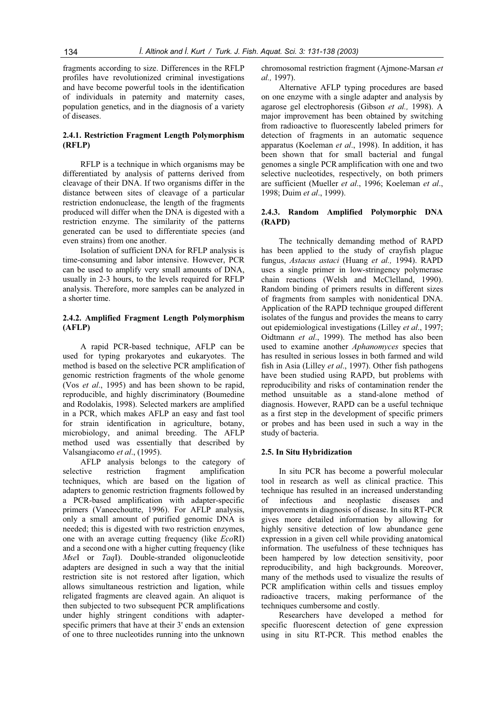fragments according to size. Differences in the RFLP profiles have revolutionized criminal investigations and have become powerful tools in the identification of individuals in paternity and maternity cases, population genetics, and in the diagnosis of a variety of diseases.

#### **2.4.1. Restriction Fragment Length Polymorphism (RFLP)**

RFLP is a technique in which organisms may be differentiated by analysis of patterns derived from cleavage of their DNA. If two organisms differ in the distance between sites of cleavage of a particular restriction endonuclease, the length of the fragments produced will differ when the DNA is digested with a restriction enzyme. The similarity of the patterns generated can be used to differentiate species (and even strains) from one another.

Isolation of sufficient DNA for RFLP analysis is time-consuming and labor intensive. However, PCR can be used to amplify very small amounts of DNA, usually in 2-3 hours, to the levels required for RFLP analysis. Therefore, more samples can be analyzed in a shorter time.

## **2.4.2. Amplified Fragment Length Polymorphism (AFLP)**

A rapid PCR-based technique, AFLP can be used for typing prokaryotes and eukaryotes. The method is based on the selective PCR amplification of genomic restriction fragments of the whole genome (Vos *et al*., 1995) and has been shown to be rapid, reproducible, and highly discriminatory (Boumedine and Rodolakis, 1998). Selected markers are amplified in a PCR, which makes AFLP an easy and fast tool for strain identification in agriculture, botany, microbiology, and animal breeding. The AFLP method used was essentially that described by Valsangiacomo *et al*., (1995).

AFLP analysis belongs to the category of selective restriction fragment amplification techniques, which are based on the ligation of adapters to genomic restriction fragments followed by a PCR-based amplification with adapter-specific primers (Vaneechoutte, 1996). For AFLP analysis, only a small amount of purified genomic DNA is needed; this is digested with two restriction enzymes, one with an average cutting frequency (like *Eco*RI) and a second one with a higher cutting frequency (like *Mse*I or *Taq*I). Double-stranded oligonucleotide adapters are designed in such a way that the initial restriction site is not restored after ligation, which allows simultaneous restriction and ligation, while religated fragments are cleaved again. An aliquot is then subjected to two subsequent PCR amplifications under highly stringent conditions with adapterspecific primers that have at their 3' ends an extension of one to three nucleotides running into the unknown

chromosomal restriction fragment (Ajmone-Marsan *et al.,* 1997).

Alternative AFLP typing procedures are based on one enzyme with a single adapter and analysis by agarose gel electrophoresis (Gibson *et al.,* 1998). A major improvement has been obtained by switching from radioactive to fluorescently labeled primers for detection of fragments in an automatic sequence apparatus (Koeleman *et al*., 1998). In addition, it has been shown that for small bacterial and fungal genomes a single PCR amplification with one and two selective nucleotides, respectively, on both primers are sufficient (Mueller *et al*., 1996; Koeleman *et al*., 1998; Duim *et al*., 1999).

# **2.4.3. Random Amplified Polymorphic DNA (RAPD)**

The technically demanding method of RAPD has been applied to the study of crayfish plague fungus, *Astacus astaci* (Huang *et al.,* 1994). RAPD uses a single primer in low-stringency polymerase chain reactions (Welsh and McClelland, 1990). Random binding of primers results in different sizes of fragments from samples with nonidentical DNA. Application of the RAPD technique grouped different isolates of the fungus and provides the means to carry out epidemiological investigations (Lilley *et al*., 1997; Oidtmann *et al*., 1999). The method has also been used to examine another *Aphanomyces* species that has resulted in serious losses in both farmed and wild fish in Asia (Lilley *et al*., 1997). Other fish pathogens have been studied using RAPD, but problems with reproducibility and risks of contamination render the method unsuitable as a stand-alone method of diagnosis. However, RAPD can be a useful technique as a first step in the development of specific primers or probes and has been used in such a way in the study of bacteria.

#### **2.5. In Situ Hybridization**

In situ PCR has become a powerful molecular tool in research as well as clinical practice. This technique has resulted in an increased understanding of infectious and neoplastic diseases and improvements in diagnosis of disease. In situ RT-PCR gives more detailed information by allowing for highly sensitive detection of low abundance gene expression in a given cell while providing anatomical information. The usefulness of these techniques has been hampered by low detection sensitivity, poor reproducibility, and high backgrounds. Moreover, many of the methods used to visualize the results of PCR amplification within cells and tissues employ radioactive tracers, making performance of the techniques cumbersome and costly.

Researchers have developed a method for specific fluorescent detection of gene expression using in situ RT-PCR. This method enables the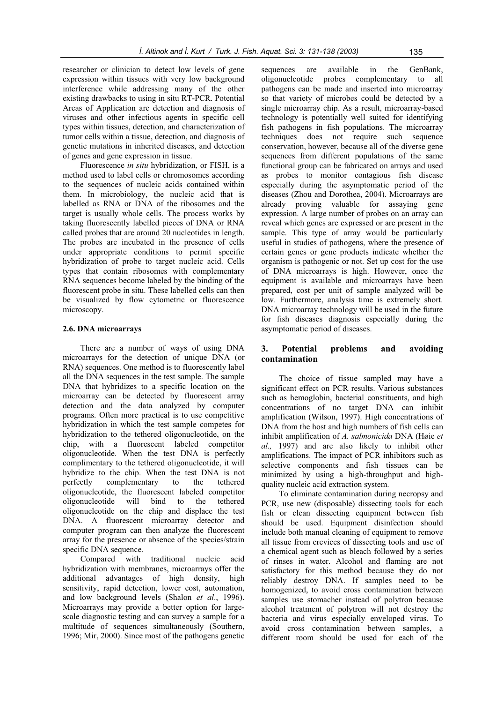researcher or clinician to detect low levels of gene expression within tissues with very low background interference while addressing many of the other existing drawbacks to using in situ RT-PCR. Potential Areas of Application are detection and diagnosis of viruses and other infectious agents in specific cell types within tissues, detection, and characterization of tumor cells within a tissue, detection, and diagnosis of genetic mutations in inherited diseases, and detection of genes and gene expression in tissue.

Fluorescence *in situ* hybridization, or FISH, is a method used to label cells or chromosomes according to the sequences of nucleic acids contained within them. In microbiology, the nucleic acid that is labelled as RNA or DNA of the ribosomes and the target is usually whole cells. The process works by taking fluorescently labelled pieces of DNA or RNA called probes that are around 20 nucleotides in length. The probes are incubated in the presence of cells under appropriate conditions to permit specific hybridization of probe to target nucleic acid. Cells types that contain ribosomes with complementary RNA sequences become labeled by the binding of the fluorescent probe in situ. These labelled cells can then be visualized by flow cytometric or fluorescence microscopy.

#### **2.6. DNA microarrays**

There are a number of ways of using DNA microarrays for the detection of unique DNA (or RNA) sequences. One method is to fluorescently label all the DNA sequences in the test sample. The sample DNA that hybridizes to a specific location on the microarray can be detected by fluorescent array detection and the data analyzed by computer programs. Often more practical is to use competitive hybridization in which the test sample competes for hybridization to the tethered oligonucleotide, on the chip, with a fluorescent labeled competitor oligonucleotide. When the test DNA is perfectly complimentary to the tethered oligonucleotide, it will hybridize to the chip. When the test DNA is not perfectly complementary to the tethered oligonucleotide, the fluorescent labeled competitor oligonucleotide will bind to the tethered oligonucleotide on the chip and displace the test DNA. A fluorescent microarray detector and computer program can then analyze the fluorescent array for the presence or absence of the species/strain specific DNA sequence.

Compared with traditional nucleic acid hybridization with membranes, microarrays offer the additional advantages of high density, high sensitivity, rapid detection, lower cost, automation, and low background levels (Shalon *et al*., 1996). Microarrays may provide a better option for largescale diagnostic testing and can survey a sample for a multitude of sequences simultaneously (Southern, 1996; Mir, 2000). Since most of the pathogens genetic

sequences are available in the GenBank, oligonucleotide probes complementary to all pathogens can be made and inserted into microarray so that variety of microbes could be detected by a single microarray chip. As a result, microarray-based technology is potentially well suited for identifying fish pathogens in fish populations. The microarray techniques does not require such sequence conservation, however, because all of the diverse gene sequences from different populations of the same functional group can be fabricated on arrays and used as probes to monitor contagious fish disease especially during the asymptomatic period of the diseases (Zhou and Dorothea, 2004). Microarrays are already proving valuable for assaying gene expression. A large number of probes on an array can reveal which genes are expressed or are present in the sample. This type of array would be particularly useful in studies of pathogens, where the presence of certain genes or gene products indicate whether the organism is pathogenic or not. Set up cost for the use of DNA microarrays is high. However, once the equipment is available and microarrays have been prepared, cost per unit of sample analyzed will be low. Furthermore, analysis time is extremely short. DNA microarray technology will be used in the future for fish diseases diagnosis especially during the asymptomatic period of diseases.

#### **3. Potential problems and avoiding contamination**

The choice of tissue sampled may have a significant effect on PCR results. Various substances such as hemoglobin, bacterial constituents, and high concentrations of no target DNA can inhibit amplification (Wilson, 1997). High concentrations of DNA from the host and high numbers of fish cells can inhibit amplification of *A. salmonicida* DNA (Høie *et al.,* 1997) and are also likely to inhibit other amplifications. The impact of PCR inhibitors such as selective components and fish tissues can be minimized by using a high-throughput and highquality nucleic acid extraction system.

To eliminate contamination during necropsy and PCR, use new (disposable) dissecting tools for each fish or clean dissecting equipment between fish should be used. Equipment disinfection should include both manual cleaning of equipment to remove all tissue from crevices of dissecting tools and use of a chemical agent such as bleach followed by a series of rinses in water. Alcohol and flaming are not satisfactory for this method because they do not reliably destroy DNA. If samples need to be homogenized, to avoid cross contamination between samples use stomacher instead of polytron because alcohol treatment of polytron will not destroy the bacteria and virus especially enveloped virus. To avoid cross contamination between samples, a different room should be used for each of the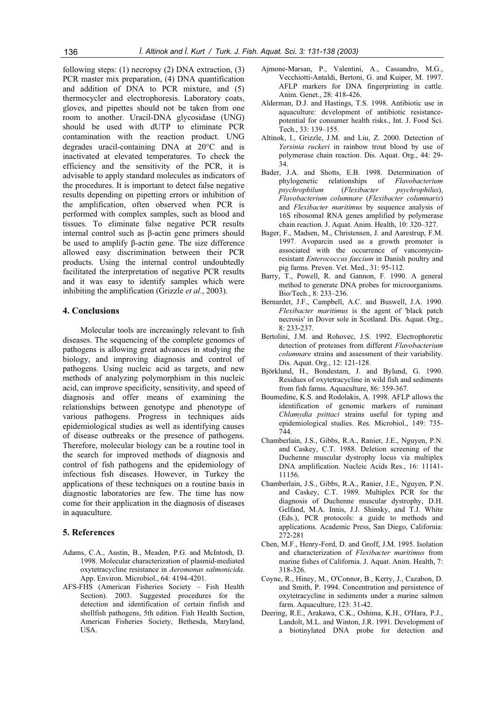following steps: (1) necropsy (2) DNA extraction, (3) PCR master mix preparation, (4) DNA quantification and addition of DNA to PCR mixture, and (5) thermocycler and electrophoresis. Laboratory coats, gloves, and pipettes should not be taken from one room to another. Uracil-DNA glycosidase (UNG) should be used with dUTP to eliminate PCR contamination with the reaction product. UNG degrades uracil-containing DNA at  $20^{\circ}$ C and is inactivated at elevated temperatures. To check the efficiency and the sensitivity of the PCR, it is advisable to apply standard molecules as indicators of the procedures. It is important to detect false negative results depending on pipetting errors or inhibition of the amplification, often observed when PCR is performed with complex samples, such as blood and tissues. To eliminate false negative PCR results internal control such as  $\beta$ -actin gene primers should be used to amplify  $\beta$ -actin gene. The size difference allowed easy discrimination between their PCR products. Using the internal control undoubtedly facilitated the interpretation of negative PCR results and it was easy to identify samples which were inhibiting the amplification (Grizzle *et al*., 2003).

#### **4. Conclusions**

Molecular tools are increasingly relevant to fish diseases. The sequencing of the complete genomes of pathogens is allowing great advances in studying the biology, and improving diagnosis and control of pathogens. Using nucleic acid as targets, and new methods of analyzing polymorphism in this nucleic acid, can improve specificity, sensitivity, and speed of diagnosis and offer means of examining the relationships between genotype and phenotype of various pathogens. Progress in techniques aids epidemiological studies as well as identifying causes of disease outbreaks or the presence of pathogens. Therefore, molecular biology can be a routine tool in the search for improved methods of diagnosis and control of fish pathogens and the epidemiology of infectious fish diseases. However, in Turkey the applications of these techniques on a routine basis in diagnostic laboratories are few. The time has now come for their application in the diagnosis of diseases in aquaculture.

#### **5. References**

- Adams, C.A., Austin, B., Meaden, P.G. and McIntosh, D. 1998. Molecular characterization of plasmid-mediated oxytetracycline resistance in *Aeromonas salmonicida*. App. Environ. Microbiol., 64: 4194-4201.
- AFS-FHS (American Fisheries Society Fish Health Section). 2003. Suggested procedures for the detection and identification of certain finfish and shellfish pathogens, 5th edition. Fish Health Section, American Fisheries Society, Bethesda, Maryland, USA.
- Ajmone-Marsan, P., Valentini, A., Cassandro, M.G., Vecchiotti-Antaldi, Bertoni, G. and Kuiper, M. 1997. AFLP markers for DNA fingerprinting in cattle. Anim. Genet., 28: 418-426.
- Alderman, D.J. and Hastings, T.S. 1998. Antibiotic use in aquaculture: development of antibiotic resistancepotential for consumer health risks., Int. J. Food Sci. Tech., 33: 139–155.
- Altinok, I., Grizzle, J.M. and Liu, Z. 2000. Detection of *Yersinia ruckeri* in rainbow trout blood by use of polymerase chain reaction. Dis. Aquat. Org., 44: 29- 34.
- Bader, J.A. and Shotts, E.B. 1998. Determination of phylogenetic relationships of *Flavobacterium* phylogenetic relationships of *Flavobacterium psychrophilum* (*Flexibacter psychrophilus*), *Flavobacterium columnare* (*Flexibacter columnaris*) and *Flexibacter maritimus* by sequence analysis of 16S ribosomal RNA genes amplified by polymerase chain reaction. J. Aquat. Anim. Health, 10: 320–327.
- Bager, F., Madsen, M., Christensen, J. and Aarestrup, F.M. 1997. Avoparcin used as a growth promoter is associated with the occurrence of vancomycinresistant *Enterococcus faecium* in Danish poultry and pig farms. Preven. Vet. Med., 31: 95-112.
- Barry, T., Powell, R. and Gannon, F. 1990. A general method to generate DNA probes for microorganisms. Bio/Tech., 8: 233–236.
- Bernardet, J.F., Campbell, A.C. and Buswell, J.A. 1990. *Flexibacter maritimus* is the agent of 'black patch necrosis' in Dover sole in Scotland. Dis. Aquat. Org., 8: 233-237.
- Bertolini, J.M. and Rohovec, J.S. 1992. Electrophoretic detection of proteases from different *Flavobacterium columnare* strains and assessment of their variability. Dis. Aquat. Org., 12: 121-128.
- Björklund, H., Bondestam, J. and Bylund, G. 1990. Residues of oxytetracycline in wild fish and sediments from fish farms. Aquaculture, 86: 359-367.
- Boumedine, K.S. and Rodolakis, A. 1998. AFLP allows the identification of genomic markers of ruminant *Chlamydia psittaci* strains useful for typing and epidemiological studies. Res. Microbiol., 149: 735- 744.
- Chamberlain, J.S., Gibbs, R.A., Ranier, J.E., Nguyen, P.N. and Caskey, C.T. 1988. Deletion screening of the Duchenne muscular dystrophy locus via multiplex DNA amplification. Nucleic Acids Res., 16: 11141- 11156.
- Chamberlain, J.S., Gibbs, R.A., Ranier, J.E., Nguyen, P.N. and Caskey, C.T. 1989. Multiplex PCR for the diagnosis of Duchenne muscular dystrophy, D.H. Gelfand, M.A. Innis, J.J. Shinsky, and T.J. White (Eds.), PCR protocols: a guide to methods and applications. Academic Press, San Diego, California: 272-281
- Chen, M.F., Henry-Ford, D. and Groff, J.M. 1995. Isolation and characterization of *Flexibacter maritimus* from marine fishes of California. J. Aquat. Anim. Health, 7: 318-326.
- Coyne, R., Hiney, M., O'Connor, B., Kerry, J., Cazabon, D. and Smith, P. 1994. Concentration and persistence of oxytetracycline in sediments under a marine salmon farm. Aquaculture, 123: 31-42.
- Deering, R.E., Arakawa, C.K., Oshima, K.H., O'Hara, P.J., Landolt, M.L. and Winton, J.R. 1991. Development of a biotinylated DNA probe for detection and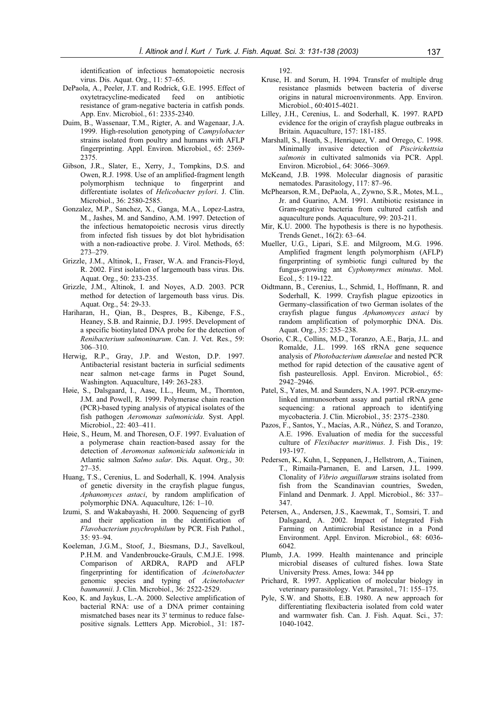identification of infectious hematopoietic necrosis virus. Dis. Aquat. Org., 11: 57–65.

- DePaola, A., Peeler, J.T. and Rodrick, G.E. 1995. Effect of oxytetracycline-medicated feed on antibiotic resistance of gram-negative bacteria in catfish ponds. App. Env. Microbiol., 61: 2335-2340.
- Duim, B., Wassenaar, T.M., Rigter, A. and Wagenaar, J.A. 1999. High-resolution genotyping of *Campylobacter* strains isolated from poultry and humans with AFLP fingerprinting. Appl. Environ. Microbiol., 65: 2369- 2375.
- Gibson, J.R., Slater, E., Xerry, J., Tompkins, D.S. and Owen, R.J. 1998. Use of an amplified-fragment length polymorphism technique to fingerprint and differentiate isolates of *Helicobacter pylori*. J. Clin. Microbiol., 36: 2580-2585.
- Gonzalez, M.P., Sanchez, X., Ganga, M.A., Lopez-Lastra, M., Jashes, M. and Sandino, A.M. 1997. Detection of the infectious hematopoietic necrosis virus directly from infected fish tissues by dot blot hybridisation with a non-radioactive probe. J. Virol. Methods, 65: 273–279.
- Grizzle, J.M., Altinok, I., Fraser, W.A. and Francis-Floyd, R. 2002. First isolation of largemouth bass virus. Dis. Aquat. Org., 50: 233-235.
- Grizzle, J.M., Altinok, I. and Noyes, A.D. 2003. PCR method for detection of largemouth bass virus. Dis. Aquat. Org., 54: 29-33.
- Hariharan, H., Qian, B., Despres, B., Kibenge, F.S., Heaney, S.B. and Rainnie, D.J. 1995. Development of a specific biotinylated DNA probe for the detection of *Renibacterium salmoninarum*. Can. J. Vet. Res., 59: 306–310.
- Herwig, R.P., Gray, J.P. and Weston, D.P. 1997. Antibacterial resistant bacteria in surficial sediments near salmon net-cage farms in Puget Sound, Washington. Aquaculture, 149: 263-283.
- Høie, S., Dalsgaard, I., Aase, I.L., Heum, M., Thornton, J.M. and Powell, R. 1999. Polymerase chain reaction (PCR)-based typing analysis of atypical isolates of the fish pathogen *Aeromonas salmonicida*. Syst. Appl. Microbiol., 22: 403–411.
- Høie, S., Heum, M. and Thoresen, O.F. 1997. Evaluation of a polymerase chain reaction-based assay for the detection of *Aeromonas salmonicida salmonicida* in Atlantic salmon *Salmo salar*. Dis. Aquat. Org., 30: 27–35.
- Huang, T.S., Cerenius, L. and Soderhall, K. 1994. Analysis of genetic diversity in the crayfish plague fungus, *Aphanomyces astaci*, by random amplification of polymorphic DNA. Aquaculture, 126: 1–10.
- Izumi, S. and Wakabayashi, H. 2000. Sequencing of gyrB and their application in the identification of *Flavobacterium psychrophilum* by PCR. Fish Pathol., 35: 93–94.
- Koeleman, J.G.M., Stoof, J., Biesmans, D.J., Savelkoul, P.H.M. and Vandenbroucke-Grauls, C.M.J.E. 1998. Comparison of ARDRA, RAPD and AFLP fingerprinting for identification of *Acinetobacter* genomic species and typing of *Acinetobacter baumannii*. J. Clin. Microbiol., 36: 2522-2529.
- Koo, K. and Jaykus, L.-A. 2000. Selective amplification of bacterial RNA: use of a DNA primer containing mismatched bases near its 3' terminus to reduce falsepositive signals. Lettters App. Microbiol., 31: 187-

192.

- Kruse, H. and Sorum, H. 1994. Transfer of multiple drug resistance plasmids between bacteria of diverse origins in natural microenvironments. App. Environ. Microbiol., 60:4015-4021.
- Lilley, J.H., Cerenius, L. and Soderhall, K. 1997. RAPD evidence for the origin of crayfish plague outbreaks in Britain. Aquaculture, 157: 181-185.
- Marshall, S., Heath, S., Henriquez, V. and Orrego, C. 1998. Minimally invasive detection of *Piscirickettsia salmonis* in cultivated salmonids via PCR. Appl. Environ. Microbiol., 64: 3066–3069.
- McKeand, J.B. 1998. Molecular diagnosis of parasitic nematodes. Parasitology, 117: 87–96.
- McPhearson, R.M., DePaola, A., Zywno, S.R., Motes, M.L., Jr. and Guarino, A.M. 1991. Antibiotic resistance in Gram-negative bacteria from cultured catfish and aquaculture ponds. Aquaculture, 99: 203-211.
- Mir, K.U. 2000. The hypothesis is there is no hypothesis. Trends Genet., 16(2): 63–64.
- Mueller, U.G., Lipari, S.E. and Milgroom, M.G. 1996. Amplified fragment length polymorphism (AFLP) fingerprinting of symbiotic fungi cultured by the fungus-growing ant *Cyphomyrmex minutus*. Mol. Ecol., 5: 119-122.
- Oidtmann, B., Cerenius, L., Schmid, I., Hoffmann, R. and Soderhall, K. 1999. Crayfish plague epizootics in Germany-classification of two German isolates of the crayfish plague fungus *Aphanomyces astaci* by random amplification of polymorphic DNA. Dis. Aquat. Org., 35: 235–238.
- Osorio, C.R., Collins, M.D., Toranzo, A.E., Barja, J.L. and Romalde, J.L. 1999. 16S rRNA gene sequence analysis of *Photobacterium damselae* and nested PCR method for rapid detection of the causative agent of fish pasteurellosis. Appl. Environ. Microbiol., 65: 2942–2946.
- Patel, S., Yates, M. and Saunders, N.A. 1997. PCR-enzymelinked immunosorbent assay and partial rRNA gene sequencing: a rational approach to identifying mycobacteria. J. Clin. Microbiol., 35: 2375–2380.
- Pazos, F., Santos, Y., Macías, A.R., Núñez, S. and Toranzo, A.E. 1996. Evaluation of media for the successful culture of *Flexibacter maritimus*. J. Fish Dis., 19: 193-197.
- Pedersen, K., Kuhn, I., Seppanen, J., Hellstrom, A., Tiainen, T., Rimaila-Parnanen, E. and Larsen, J.L. 1999. Clonality of *Vibrio anguillarum* strains isolated from fish from the Scandinavian countries, Sweden, Finland and Denmark. J. Appl. Microbiol., 86: 337– 347.
- Petersen, A., Andersen, J.S., Kaewmak, T., Somsiri, T. and Dalsgaard, A. 2002. Impact of Integrated Fish Farming on Antimicrobial Resistance in a Pond Environment. Appl. Environ. Microbiol., 68: 6036- 6042.
- Plumb, J.A. 1999. Health maintenance and principle microbial diseases of cultured fishes. Iowa State University Press. Ames, Iowa: 344 pp
- Prichard, R. 1997. Application of molecular biology in veterinary parasitology. Vet. Parasitol., 71: 155–175.
- Pyle, S.W. and Shotts, E.B. 1980. A new approach for differentiating flexibacteria isolated from cold water and warmwater fish. Can. J. Fish. Aquat. Sci., 37: 1040-1042.